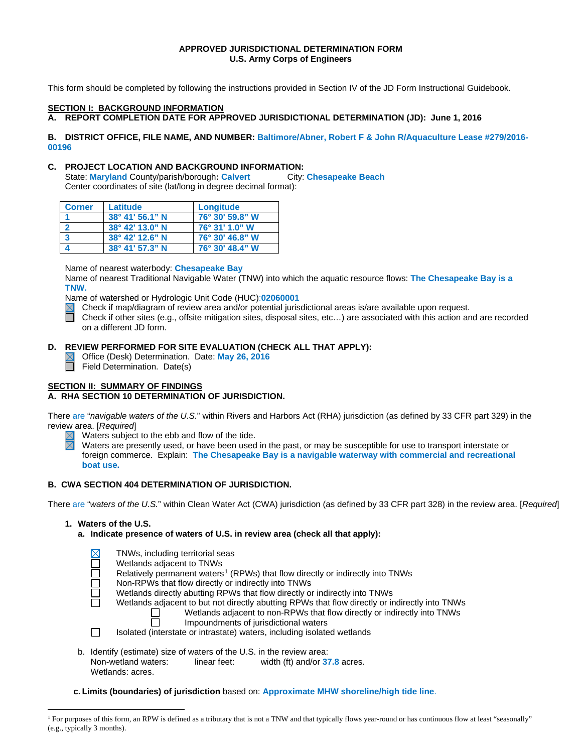# **APPROVED JURISDICTIONAL DETERMINATION FORM U.S. Army Corps of Engineers**

This form should be completed by following the instructions provided in Section IV of the JD Form Instructional Guidebook.

#### **SECTION I: BACKGROUND INFORMATION**

**A. REPORT COMPLETION DATE FOR APPROVED JURISDICTIONAL DETERMINATION (JD): June 1, 2016**

#### **B. DISTRICT OFFICE, FILE NAME, AND NUMBER: Baltimore/Abner, Robert F & John R/Aquaculture Lease #279/2016- 00196**

**C. PROJECT LOCATION AND BACKGROUND INFORMATION:**<br>State: Maryland County/parish/borough: Calvert City: Chesapeake Beach **State: Maryland County/parish/borough: Calvert** Center coordinates of site (lat/long in degree decimal format):

| <b>Corner</b> | Latitude                 | Longitude       |
|---------------|--------------------------|-----------------|
|               | $38^{\circ}$ 41' 56.1" N | 76° 30' 59.8" W |
|               | $38^{\circ}$ 42' 13.0" N | 76° 31' 1.0" W  |
| -3            | $38^{\circ}$ 42' 12.6" N | 76° 30' 46.8" W |
|               | 38° 41' 57.3" N          | 76° 30' 48.4" W |

Name of nearest waterbody: **Chesapeake Bay**

Name of nearest Traditional Navigable Water (TNW) into which the aquatic resource flows: **The Chesapeake Bay is a TNW.**

Name of watershed or Hydrologic Unit Code (HUC):**02060001**<br>
⊠ Check if map/diagram of review area and/or potential juris<br>
■ Check if other sites (e.g., offsite mitigation sites, disposal

Check if map/diagram of review area and/or potential jurisdictional areas is/are available upon request.

Check if other sites (e.g., offsite mitigation sites, disposal sites, etc…) are associated with this action and are recorded on a different JD form.

# **D. REVIEW PERFORMED FOR SITE EVALUATION (CHECK ALL THAT APPLY):**

- Office (Desk) Determination. Date: **May 26, 2016**
- П Field Determination. Date(s)

# **SECTION II: SUMMARY OF FINDINGS**

#### **A. RHA SECTION 10 DETERMINATION OF JURISDICTION.**

There are "*navigable waters of the U.S.*" within Rivers and Harbors Act (RHA) jurisdiction (as defined by 33 CFR part 329) in the review area. [*Required*]

- Waters subject to the ebb and flow of the tide.
- Waters are presently used, or have been used in the past, or may be susceptible for use to transport interstate or foreign commerce. Explain: **The Chesapeake Bay is a navigable waterway with commercial and recreational boat use.**

# **B. CWA SECTION 404 DETERMINATION OF JURISDICTION.**

There are "*waters of the U.S.*" within Clean Water Act (CWA) jurisdiction (as defined by 33 CFR part 328) in the review area. [*Required*]

# **1. Waters of the U.S.**

Wetlands: acres.

**a. Indicate presence of waters of U.S. in review area (check all that apply):**

|                                                                       |  | TNWs, including territorial seas                                                               |
|-----------------------------------------------------------------------|--|------------------------------------------------------------------------------------------------|
|                                                                       |  | Wetlands adjacent to TNWs                                                                      |
|                                                                       |  | Relatively permanent waters <sup>1</sup> (RPWs) that flow directly or indirectly into TNWs     |
|                                                                       |  | Non-RPWs that flow directly or indirectly into TNWs                                            |
|                                                                       |  | Wetlands directly abutting RPWs that flow directly or indirectly into TNWs                     |
|                                                                       |  | Wetlands adjacent to but not directly abutting RPWs that flow directly or indirectly into TNWs |
|                                                                       |  | Wetlands adjacent to non-RPWs that flow directly or indirectly into TNWs                       |
|                                                                       |  | Impoundments of jurisdictional waters                                                          |
|                                                                       |  | Isolated (interstate or intrastate) waters, including isolated wetlands                        |
|                                                                       |  |                                                                                                |
| b. Identify (estimate) size of waters of the U.S. in the review area: |  |                                                                                                |
|                                                                       |  | Non-wetland waters:<br>linear feet:<br>width (ft) and/or 37.8 acres.                           |

**c. Limits (boundaries) of jurisdiction** based on: **Approximate MHW shoreline/high tide line**.

<span id="page-0-0"></span><sup>&</sup>lt;sup>1</sup> For purposes of this form, an RPW is defined as a tributary that is not a TNW and that typically flows year-round or has continuous flow at least "seasonally" (e.g., typically 3 months).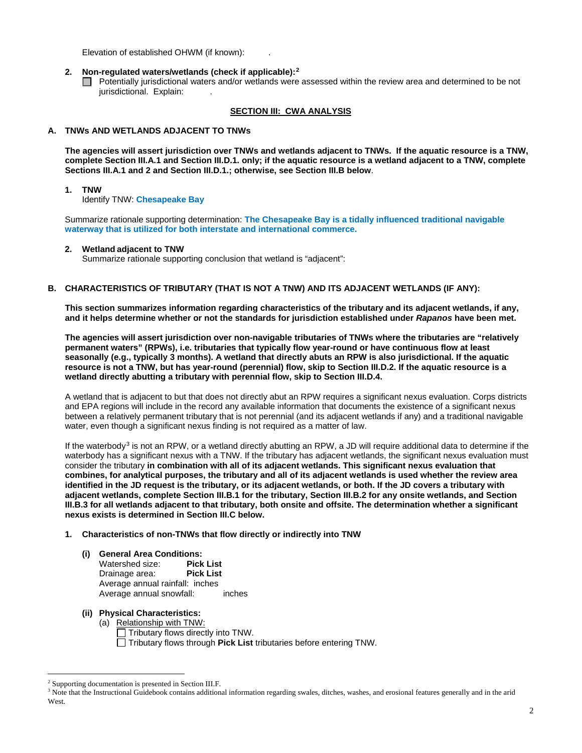Elevation of established OHWM (if known): .

## **2. Non-regulated waters/wetlands (check if applicable):[2](#page-1-0)**

Potentially jurisdictional waters and/or wetlands were assessed within the review area and determined to be not jurisdictional. Explain:

# **SECTION III: CWA ANALYSIS**

# **A. TNWs AND WETLANDS ADJACENT TO TNWs**

**The agencies will assert jurisdiction over TNWs and wetlands adjacent to TNWs. If the aquatic resource is a TNW, complete Section III.A.1 and Section III.D.1. only; if the aquatic resource is a wetland adjacent to a TNW, complete Sections III.A.1 and 2 and Section III.D.1.; otherwise, see Section III.B below**.

#### **1. TNW**

Identify TNW: **Chesapeake Bay**

Summarize rationale supporting determination: **The Chesapeake Bay is a tidally influenced traditional navigable waterway that is utilized for both interstate and international commerce.**

#### **2. Wetland adjacent to TNW**

Summarize rationale supporting conclusion that wetland is "adjacent":

# **B. CHARACTERISTICS OF TRIBUTARY (THAT IS NOT A TNW) AND ITS ADJACENT WETLANDS (IF ANY):**

**This section summarizes information regarding characteristics of the tributary and its adjacent wetlands, if any, and it helps determine whether or not the standards for jurisdiction established under** *Rapanos* **have been met.** 

**The agencies will assert jurisdiction over non-navigable tributaries of TNWs where the tributaries are "relatively permanent waters" (RPWs), i.e. tributaries that typically flow year-round or have continuous flow at least seasonally (e.g., typically 3 months). A wetland that directly abuts an RPW is also jurisdictional. If the aquatic resource is not a TNW, but has year-round (perennial) flow, skip to Section III.D.2. If the aquatic resource is a wetland directly abutting a tributary with perennial flow, skip to Section III.D.4.** 

A wetland that is adjacent to but that does not directly abut an RPW requires a significant nexus evaluation. Corps districts and EPA regions will include in the record any available information that documents the existence of a significant nexus between a relatively permanent tributary that is not perennial (and its adjacent wetlands if any) and a traditional navigable water, even though a significant nexus finding is not required as a matter of law.

If the waterbody<sup>[3](#page-1-1)</sup> is not an RPW, or a wetland directly abutting an RPW, a JD will require additional data to determine if the waterbody has a significant nexus with a TNW. If the tributary has adjacent wetlands, the significant nexus evaluation must consider the tributary **in combination with all of its adjacent wetlands. This significant nexus evaluation that combines, for analytical purposes, the tributary and all of its adjacent wetlands is used whether the review area identified in the JD request is the tributary, or its adjacent wetlands, or both. If the JD covers a tributary with adjacent wetlands, complete Section III.B.1 for the tributary, Section III.B.2 for any onsite wetlands, and Section III.B.3 for all wetlands adjacent to that tributary, both onsite and offsite. The determination whether a significant nexus exists is determined in Section III.C below.**

#### **1. Characteristics of non-TNWs that flow directly or indirectly into TNW**

# **(i) General Area Conditions:**

Watershed size: **Pick List** Drainage area: Average annual rainfall: inches Average annual snowfall: inches

# **(ii) Physical Characteristics:**

(a) Relationship with TNW:

 $\Box$  Tributary flows directly into TNW.

Tributary flows through **Pick List** tributaries before entering TNW.

<span id="page-1-0"></span> <sup>2</sup> Supporting documentation is presented in Section III.F.

<span id="page-1-1"></span><sup>&</sup>lt;sup>3</sup> Note that the Instructional Guidebook contains additional information regarding swales, ditches, washes, and erosional features generally and in the arid West.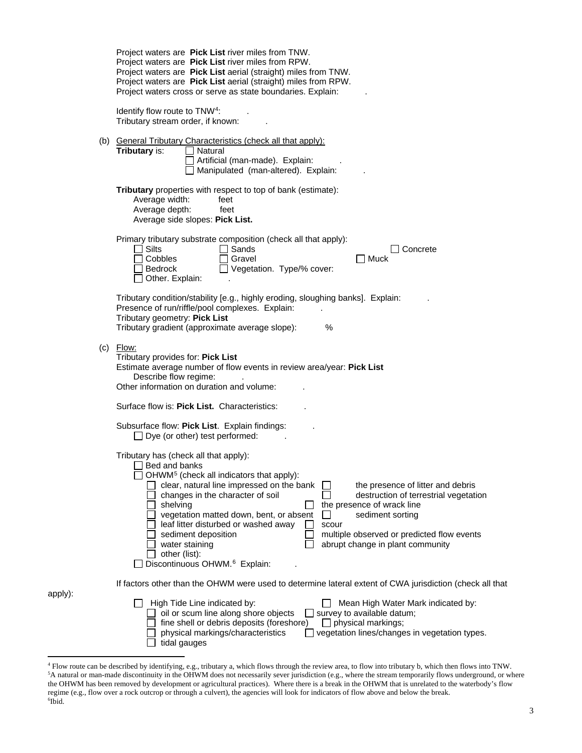|         | Project waters are Pick List river miles from TNW.<br>Project waters are Pick List river miles from RPW.<br>Project waters are Pick List aerial (straight) miles from TNW.<br>Project waters are Pick List aerial (straight) miles from RPW.<br>Project waters cross or serve as state boundaries. Explain:                                                                                                                                                                                                                                                                                                                                |
|---------|--------------------------------------------------------------------------------------------------------------------------------------------------------------------------------------------------------------------------------------------------------------------------------------------------------------------------------------------------------------------------------------------------------------------------------------------------------------------------------------------------------------------------------------------------------------------------------------------------------------------------------------------|
|         | Identify flow route to TNW <sup>4</sup> :<br>Tributary stream order, if known:                                                                                                                                                                                                                                                                                                                                                                                                                                                                                                                                                             |
|         | (b) General Tributary Characteristics (check all that apply):<br>Tributary is:<br>Natural<br>Artificial (man-made). Explain:<br>Manipulated (man-altered). Explain:                                                                                                                                                                                                                                                                                                                                                                                                                                                                        |
|         | Tributary properties with respect to top of bank (estimate):<br>Average width:<br>feet<br>Average depth:<br>feet<br>Average side slopes: Pick List.                                                                                                                                                                                                                                                                                                                                                                                                                                                                                        |
|         | Primary tributary substrate composition (check all that apply):<br>$\Box$ Silts<br>Sands<br>Concrete<br>Cobbles<br>Gravel<br><b>Nuck</b><br>Vegetation. Type/% cover:<br><b>Bedrock</b><br>Other. Explain:                                                                                                                                                                                                                                                                                                                                                                                                                                 |
|         | Tributary condition/stability [e.g., highly eroding, sloughing banks]. Explain:<br>Presence of run/riffle/pool complexes. Explain:<br>Tributary geometry: Pick List<br>Tributary gradient (approximate average slope):<br>%                                                                                                                                                                                                                                                                                                                                                                                                                |
|         | $(c)$ Flow:<br>Tributary provides for: Pick List<br>Estimate average number of flow events in review area/year: Pick List<br>Describe flow regime:<br>Other information on duration and volume:                                                                                                                                                                                                                                                                                                                                                                                                                                            |
|         | Surface flow is: Pick List. Characteristics:                                                                                                                                                                                                                                                                                                                                                                                                                                                                                                                                                                                               |
|         | Subsurface flow: Pick List. Explain findings:<br>$\Box$ Dye (or other) test performed:                                                                                                                                                                                                                                                                                                                                                                                                                                                                                                                                                     |
|         | Tributary has (check all that apply):<br>Bed and banks<br>OHWM <sup>5</sup> (check all indicators that apply):<br>clear, natural line impressed on the bank<br>the presence of litter and debris<br>destruction of terrestrial vegetation<br>changes in the character of soil<br>the presence of wrack line<br>shelving<br>vegetation matted down, bent, or absent<br>$\Box$<br>sediment sorting<br>leaf litter disturbed or washed away<br>scour<br>multiple observed or predicted flow events<br>sediment deposition<br>abrupt change in plant community<br>water staining<br>other (list):<br>Discontinuous OHWM. <sup>6</sup> Explain: |
|         | If factors other than the OHWM were used to determine lateral extent of CWA jurisdiction (check all that                                                                                                                                                                                                                                                                                                                                                                                                                                                                                                                                   |
| apply): | High Tide Line indicated by:<br>Mean High Water Mark indicated by:<br>oil or scum line along shore objects<br>$\Box$ survey to available datum;<br>fine shell or debris deposits (foreshore)<br>$\Box$ physical markings;<br>physical markings/characteristics<br>vegetation lines/changes in vegetation types.<br>tidal gauges                                                                                                                                                                                                                                                                                                            |

<span id="page-2-2"></span><span id="page-2-1"></span><span id="page-2-0"></span><sup>&</sup>lt;sup>4</sup> Flow route can be described by identifying, e.g., tributary a, which flows through the review area, to flow into tributary b, which then flows into TNW.<br><sup>5</sup>A natural or man-made discontinuity in the OHWM does not neces the OHWM has been removed by development or agricultural practices). Where there is a break in the OHWM that is unrelated to the waterbody's flow regime (e.g., flow over a rock outcrop or through a culvert), the agencies will look for indicators of flow above and below the break. 6 Ibid.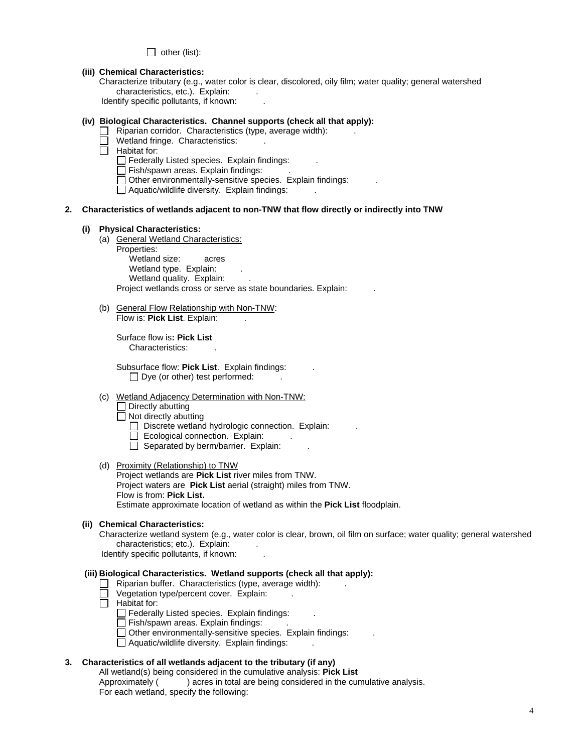$\Box$  other (list):

#### **(iii) Chemical Characteristics:**

Characterize tributary (e.g., water color is clear, discolored, oily film; water quality; general watershed characteristics, etc.). Explain:

Identify specific pollutants, if known:

# **(iv) Biological Characteristics. Channel supports (check all that apply):**

- $\Box$  Riparian corridor. Characteristics (type, average width):
	- Wetland fringe. Characteristics:
- $\overline{\Box}$  Habitat for:
	- $\Box$  Federally Listed species. Explain findings:
	- Fish/spawn areas. Explain findings: .

Other environmentally-sensitive species. Explain findings: .

 $\Box$  Aquatic/wildlife diversity. Explain findings:

# **2. Characteristics of wetlands adjacent to non-TNW that flow directly or indirectly into TNW**

#### **(i) Physical Characteristics:**

- (a) General Wetland Characteristics:
	- Properties:

Wetland size: acres Wetland type. Explain: Wetland quality. Explain: Project wetlands cross or serve as state boundaries. Explain:

(b) General Flow Relationship with Non-TNW: Flow is: Pick List. Explain:

Surface flow is**: Pick List**  Characteristics: .

Subsurface flow: **Pick List**. Explain findings: .  $\Box$  Dye (or other) test performed:

- (c) Wetland Adjacency Determination with Non-TNW:
	- Directly abutting
	- $\Box$  Not directly abutting
		- $\Box$  Discrete wetland hydrologic connection. Explain:
		- Ecological connection. Explain:
		- $\Box$  Separated by berm/barrier. Explain:
- (d) Proximity (Relationship) to TNW Project wetlands are **Pick List** river miles from TNW. Project waters are **Pick List** aerial (straight) miles from TNW. Flow is from: **Pick List.** Estimate approximate location of wetland as within the **Pick List** floodplain.

#### **(ii) Chemical Characteristics:**

Characterize wetland system (e.g., water color is clear, brown, oil film on surface; water quality; general watershed characteristics; etc.). Explain:

Identify specific pollutants, if known:

# **(iii) Biological Characteristics. Wetland supports (check all that apply):**

- Riparian buffer. Characteristics (type, average width): ...
- Vegetation type/percent cover. Explain: .
- $\Box$  Habitat for:
	- $\Box$  Federally Listed species. Explain findings:
	- Fish/spawn areas. Explain findings:
	- $\Box$  Other environmentally-sensitive species. Explain findings:
	- $\Box$  Aquatic/wildlife diversity. Explain findings:

#### **3. Characteristics of all wetlands adjacent to the tributary (if any)**

All wetland(s) being considered in the cumulative analysis: **Pick List** Approximately ( ) acres in total are being considered in the cumulative analysis. For each wetland, specify the following: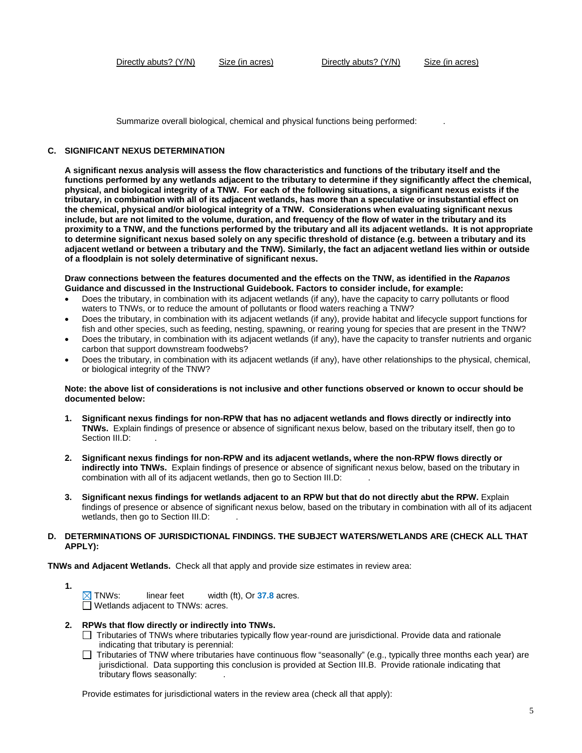Summarize overall biological, chemical and physical functions being performed: .

#### **C. SIGNIFICANT NEXUS DETERMINATION**

**A significant nexus analysis will assess the flow characteristics and functions of the tributary itself and the functions performed by any wetlands adjacent to the tributary to determine if they significantly affect the chemical, physical, and biological integrity of a TNW. For each of the following situations, a significant nexus exists if the tributary, in combination with all of its adjacent wetlands, has more than a speculative or insubstantial effect on the chemical, physical and/or biological integrity of a TNW. Considerations when evaluating significant nexus include, but are not limited to the volume, duration, and frequency of the flow of water in the tributary and its proximity to a TNW, and the functions performed by the tributary and all its adjacent wetlands. It is not appropriate to determine significant nexus based solely on any specific threshold of distance (e.g. between a tributary and its adjacent wetland or between a tributary and the TNW). Similarly, the fact an adjacent wetland lies within or outside of a floodplain is not solely determinative of significant nexus.** 

**Draw connections between the features documented and the effects on the TNW, as identified in the** *Rapanos* **Guidance and discussed in the Instructional Guidebook. Factors to consider include, for example:**

- Does the tributary, in combination with its adjacent wetlands (if any), have the capacity to carry pollutants or flood waters to TNWs, or to reduce the amount of pollutants or flood waters reaching a TNW?
- Does the tributary, in combination with its adjacent wetlands (if any), provide habitat and lifecycle support functions for fish and other species, such as feeding, nesting, spawning, or rearing young for species that are present in the TNW?
- Does the tributary, in combination with its adjacent wetlands (if any), have the capacity to transfer nutrients and organic carbon that support downstream foodwebs?
- Does the tributary, in combination with its adjacent wetlands (if any), have other relationships to the physical, chemical, or biological integrity of the TNW?

#### **Note: the above list of considerations is not inclusive and other functions observed or known to occur should be documented below:**

- **1. Significant nexus findings for non-RPW that has no adjacent wetlands and flows directly or indirectly into TNWs.** Explain findings of presence or absence of significant nexus below, based on the tributary itself, then go to Section III.D:
- **2. Significant nexus findings for non-RPW and its adjacent wetlands, where the non-RPW flows directly or indirectly into TNWs.** Explain findings of presence or absence of significant nexus below, based on the tributary in combination with all of its adjacent wetlands, then go to Section III.D: .
- **3. Significant nexus findings for wetlands adjacent to an RPW but that do not directly abut the RPW.** Explain findings of presence or absence of significant nexus below, based on the tributary in combination with all of its adjacent wetlands, then go to Section III.D:

#### **D. DETERMINATIONS OF JURISDICTIONAL FINDINGS. THE SUBJECT WATERS/WETLANDS ARE (CHECK ALL THAT APPLY):**

**TNWs and Adjacent Wetlands.** Check all that apply and provide size estimates in review area:

**1.**

TNWs: linear feet width (ft), Or **37.8** acres.  $\Box$  Wetlands adjacent to TNWs: acres.

- **2. RPWs that flow directly or indirectly into TNWs.**
	- Tributaries of TNWs where tributaries typically flow year-round are jurisdictional. Provide data and rationale indicating that tributary is perennial:
	- Tributaries of TNW where tributaries have continuous flow "seasonally" (e.g., typically three months each year) are jurisdictional. Data supporting this conclusion is provided at Section III.B. Provide rationale indicating that tributary flows seasonally: .

Provide estimates for jurisdictional waters in the review area (check all that apply):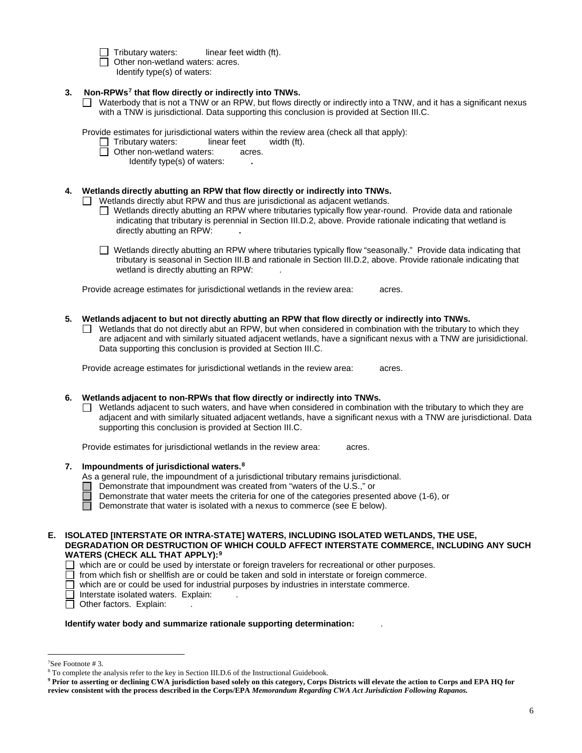$\Box$  Tributary waters: linear feet width (ft). Other non-wetland waters: acres.

Identify type(s) of waters:

# **3. Non-RPWs[7](#page-5-0) that flow directly or indirectly into TNWs.**

■ Waterbody that is not a TNW or an RPW, but flows directly or indirectly into a TNW, and it has a significant nexus with a TNW is jurisdictional. Data supporting this conclusion is provided at Section III.C.

Provide estimates for jurisdictional waters within the review area (check all that apply):<br>  $\Box$  Tributary waters: linear feet width (ft).

- $\Box$  Tributary waters: linear feet  $\Box$  Other non-wetland waters: acres.
- **D** Other non-wetland waters:
	- Identify type(s) of waters: **.**

# **4. Wetlands directly abutting an RPW that flow directly or indirectly into TNWs.**

 $\Box$  Wetlands directly abut RPW and thus are jurisdictional as adjacent wetlands.

- $\Box$  Wetlands directly abutting an RPW where tributaries typically flow year-round. Provide data and rationale indicating that tributary is perennial in Section III.D.2, above. Provide rationale indicating that wetland is directly abutting an RPW: **.**
- Wetlands directly abutting an RPW where tributaries typically flow "seasonally." Provide data indicating that tributary is seasonal in Section III.B and rationale in Section III.D.2, above. Provide rationale indicating that wetland is directly abutting an RPW: .

Provide acreage estimates for jurisdictional wetlands in the review area: acres.

- **5. Wetlands adjacent to but not directly abutting an RPW that flow directly or indirectly into TNWs.**
	- Wetlands that do not directly abut an RPW, but when considered in combination with the tributary to which they are adjacent and with similarly situated adjacent wetlands, have a significant nexus with a TNW are jurisidictional. Data supporting this conclusion is provided at Section III.C.

Provide acreage estimates for jurisdictional wetlands in the review area: acres.

# **6. Wetlands adjacent to non-RPWs that flow directly or indirectly into TNWs.**

 $\Box$  Wetlands adjacent to such waters, and have when considered in combination with the tributary to which they are adjacent and with similarly situated adjacent wetlands, have a significant nexus with a TNW are jurisdictional. Data supporting this conclusion is provided at Section III.C.

Provide estimates for jurisdictional wetlands in the review area: acres.

# **7. Impoundments of jurisdictional waters.[8](#page-5-1)**

As a general rule, the impoundment of a jurisdictional tributary remains jurisdictional.

- Demonstrate that impoundment was created from "waters of the U.S.," or
- Demonstrate that water meets the criteria for one of the categories presented above (1-6), or

 $\Box$ Demonstrate that water is isolated with a nexus to commerce (see E below).

#### **E. ISOLATED [INTERSTATE OR INTRA-STATE] WATERS, INCLUDING ISOLATED WETLANDS, THE USE, DEGRADATION OR DESTRUCTION OF WHICH COULD AFFECT INTERSTATE COMMERCE, INCLUDING ANY SUCH WATERS (CHECK ALL THAT APPLY):[9](#page-5-2)**

 $\Box$  which are or could be used by interstate or foreign travelers for recreational or other purposes.<br>  $\Box$  from which fish or shellfish are or could be taken and sold in interstate or foreign commerce.

- 
- $\Box$  from which fish or shellfish are or could be taken and sold in interstate or foreign commerce.<br> $\Box$  which are or could be used for industrial purposes by industries in interstate commerce. which are or could be used for industrial purposes by industries in interstate commerce.
	- Interstate isolated waters.Explain: .
- □ Other factors. Explain:

# **Identify water body and summarize rationale supporting determination:** .

 $\frac{1}{7}$ 

<span id="page-5-1"></span><span id="page-5-0"></span><sup>&</sup>lt;sup>7</sup>See Footnote # 3. 8  $\frac{8}{10}$  Section III.D.6 of the Instructional Guidebook.

<span id="page-5-2"></span>**<sup>9</sup> Prior to asserting or declining CWA jurisdiction based solely on this category, Corps Districts will elevate the action to Corps and EPA HQ for review consistent with the process described in the Corps/EPA** *Memorandum Regarding CWA Act Jurisdiction Following Rapanos.*